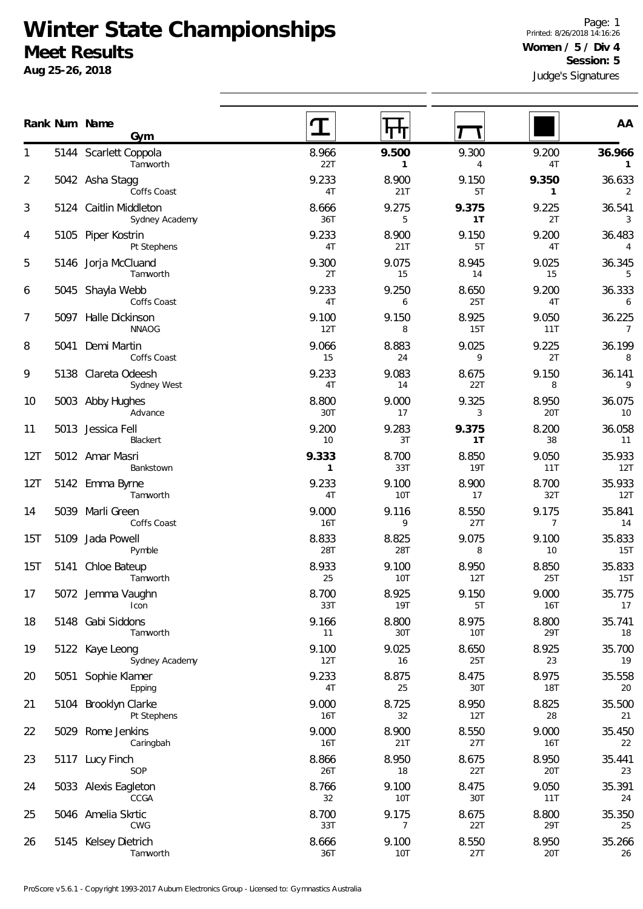## **Winter State Championships Meet Results**

**Aug 25-26, 2018**

Judge's Signatures Page: 1 Printed: 8/26/2018 14:16:26 **Women / 5 / Div 4 Session: 5**

|     |      | Rank Num Name<br>Gym                     |                       |                         |                         |                          | AA                       |
|-----|------|------------------------------------------|-----------------------|-------------------------|-------------------------|--------------------------|--------------------------|
| 1   |      | 5144 Scarlett Coppola<br>Tamworth        | 8.966<br>22T          | 9.500<br>$\mathbf{1}$   | 9.300<br>$\overline{4}$ | 9.200<br>4T              | 36.966<br>$\mathbf{1}$   |
| 2   |      | 5042 Asha Stagg<br>Coffs Coast           | 9.233<br>4T           | 8.900<br>21T            | 9.150<br>5T             | 9.350<br>$\mathbf{1}$    | 36.633<br>2              |
| 3   |      | 5124 Caitlin Middleton<br>Sydney Academy | 8.666<br>36T          | 9.275<br>5              | 9.375<br>1T             | 9.225<br>2T              | 36.541<br>3              |
| 4   |      | 5105 Piper Kostrin<br>Pt Stephens        | 9.233<br>4T           | 8.900<br>21T            | 9.150<br>5T             | 9.200<br>4T              | 36.483<br>$\overline{4}$ |
| 5   |      | 5146 Jorja McCluand<br>Tamworth          | 9.300<br>2T           | 9.075<br>15             | 8.945<br>14             | 9.025<br>15              | 36.345<br>5              |
| 6   |      | 5045 Shayla Webb<br>Coffs Coast          | 9.233<br>4T           | 9.250<br>6              | 8.650<br>25T            | 9.200<br>4T              | 36.333<br>6              |
| 7   |      | 5097 Halle Dickinson<br><b>NNAOG</b>     | 9.100<br>12T          | 9.150<br>8              | 8.925<br><b>15T</b>     | 9.050<br>11T             | 36.225<br>$\overline{7}$ |
| 8   | 5041 | Demi Martin<br>Coffs Coast               | 9.066<br>15           | 8.883<br>24             | 9.025<br>9              | 9.225<br>2T              | 36.199<br>8              |
| 9   |      | 5138 Clareta Odeesh<br>Sydney West       | 9.233<br>4T           | 9.083<br>14             | 8.675<br>22T            | 9.150<br>8               | 36.141<br>9              |
| 10  |      | 5003 Abby Hughes<br>Advance              | 8.800<br>30T          | 9.000<br>17             | 9.325<br>3              | 8.950<br>20T             | 36.075<br>10             |
| 11  |      | 5013 Jessica Fell<br>Blackert            | 9.200<br>10           | 9.283<br>3T             | 9.375<br>1T             | 8.200<br>38              | 36.058<br>11             |
| 12T |      | 5012 Amar Masri<br>Bankstown             | 9.333<br>$\mathbf{1}$ | 8.700<br>33T            | 8.850<br><b>19T</b>     | 9.050<br>11T             | 35.933<br>12T            |
| 12T |      | 5142 Emma Byrne<br>Tamworth              | 9.233<br>4T           | 9.100<br>10T            | 8.900<br>17             | 8.700<br>32T             | 35.933<br>12T            |
| 14  |      | 5039 Marli Green<br>Coffs Coast          | 9.000<br>16T          | 9.116<br>9              | 8.550<br>27T            | 9.175<br>$7\overline{ }$ | 35.841<br>14             |
| 15T |      | 5109 Jada Powell<br>Pymble               | 8.833<br>28T          | 8.825<br>28T            | 9.075<br>8              | 9.100<br>10              | 35.833<br>15T            |
| 15T | 5141 | Chloe Bateup<br>Tamworth                 | 8.933<br>25           | 9.100<br><b>10T</b>     | 8.950<br>12T            | 8.850<br>25T             | 35.833<br><b>15T</b>     |
| 17  |      | 5072 Jemma Vaughn<br>Icon                | 8.700<br>33T          | 8.925<br><b>19T</b>     | 9.150<br>5T             | 9.000<br><b>16T</b>      | 35.775<br>17             |
| 18  |      | 5148 Gabi Siddons<br>Tamworth            | 9.166<br>11           | 8.800<br>30T            | 8.975<br>10T            | 8.800<br>29T             | 35.741<br>18             |
| 19  |      | 5122 Kaye Leong<br>Sydney Academy        | 9.100<br>12T          | 9.025<br>16             | 8.650<br><b>25T</b>     | 8.925<br>23              | 35.700<br>19             |
| 20  | 5051 | Sophie Klamer<br>Epping                  | 9.233<br>4T           | 8.875<br>25             | 8.475<br>30T            | 8.975<br><b>18T</b>      | 35.558<br>20             |
| 21  |      | 5104 Brooklyn Clarke<br>Pt Stephens      | 9.000<br>16T          | 8.725<br>32             | 8.950<br>12T            | 8.825<br>28              | 35.500<br>21             |
| 22  |      | 5029 Rome Jenkins<br>Caringbah           | 9.000<br>16T          | 8.900<br>21T            | 8.550<br>27T            | 9.000<br><b>16T</b>      | 35.450<br>22             |
| 23  |      | 5117 Lucy Finch<br>SOP                   | 8.866<br>26T          | 8.950<br>18             | 8.675<br>22T            | 8.950<br>20T             | 35.441<br>23             |
| 24  |      | 5033 Alexis Eagleton<br>CCGA             | 8.766<br>32           | 9.100<br><b>10T</b>     | 8.475<br>30T            | 9.050<br>11T             | 35.391<br>24             |
| 25  |      | 5046 Amelia Skrtic<br>CWG                | 8.700<br>33T          | 9.175<br>$\overline{7}$ | 8.675<br>22T            | 8.800<br>29T             | 35.350<br>25             |
| 26  |      | 5145 Kelsey Dietrich<br>Tamworth         | 8.666<br>36T          | 9.100<br><b>10T</b>     | 8.550<br>27T            | 8.950<br>20T             | 35.266<br>26             |